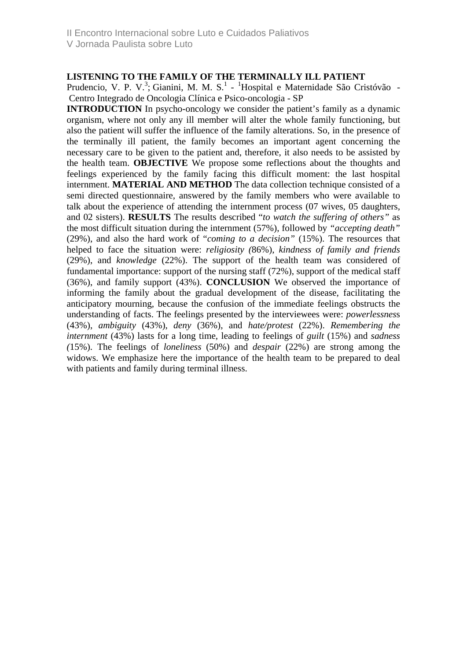V Jornada Paulista sobre Luto

## **LISTENING TO THE FAMILY OF THE TERMINALLY ILL PATIENT**

Prudencio, V. P. V.<sup>3</sup>; Gianini, M. M. S.<sup>1</sup> - <sup>1</sup>Hospital e Maternidade São Cristóvão -Centro Integrado de Oncologia Clínica e Psico-oncologia - SP

**INTRODUCTION** In psycho-oncology we consider the patient's family as a dynamic organism, where not only any ill member will alter the whole family functioning, but also the patient will suffer the influence of the family alterations. So, in the presence of the terminally ill patient, the family becomes an important agent concerning the necessary care to be given to the patient and, therefore, it also needs to be assisted by the health team. **OBJECTIVE** We propose some reflections about the thoughts and feelings experienced by the family facing this difficult moment: the last hospital internment. **MATERIAL AND METHOD** The data collection technique consisted of a semi directed questionnaire, answered by the family members who were available to talk about the experience of attending the internment process (07 wives, 05 daughters, and 02 sisters). **RESULTS** The results described "*to watch the suffering of others"* as the most difficult situation during the internment (57%), followed by *"accepting death"* (29%), and also the hard work of "*coming to a decision"* (15%). The resources that helped to face the situation were: *religiosity (*86%), *kindness of family and friends* (29%), and *knowledge* (22%). The support of the health team was considered of fundamental importance: support of the nursing staff (72%), support of the medical staff (36%), and family support (43%). **CONCLUSION** We observed the importance of informing the family about the gradual development of the disease, facilitating the anticipatory mourning, because the confusion of the immediate feelings obstructs the understanding of facts. The feelings presented by the interviewees were: *powerlessnes*s (43%), *ambiguity* (43%), *deny* (36%), and *hate/protest* (22%). *Remembering the internment* (43%) lasts for a long time, leading to feelings of *guilt* (15%) and *sadness (*15%). The feelings of *loneliness* (50%) and *despair* (22%) are strong among the widows. We emphasize here the importance of the health team to be prepared to deal with patients and family during terminal illness.